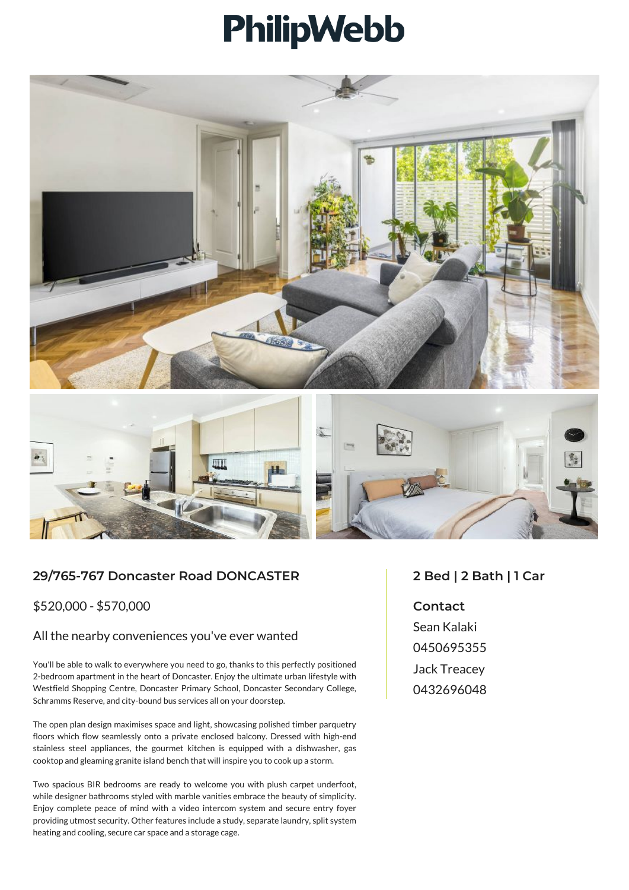## PhilipWebb



## **29/765-767 Doncaster Road DONCASTER**

\$520,000 - \$570,000

## All the nearby conveniences you've ever wanted

You'll be able to walk to everywhere you need to go, thanks to this perfectly positioned 2-bedroom apartment in the heart of Doncaster. Enjoy the ultimate urban lifestyle with Westfield Shopping Centre, Doncaster Primary School, Doncaster Secondary College, Schramms Reserve, and city-bound bus services all on your doorstep.

The open plan design maximises space and light, showcasing polished timber parquetry floors which flow seamlessly onto a private enclosed balcony. Dressed with high-end stainless steel appliances, the gourmet kitchen is equipped with a dishwasher, gas cooktop and gleaming granite island bench that will inspire you to cook up a storm.

Two spacious BIR bedrooms are ready to welcome you with plush carpet underfoot, while designer bathrooms styled with marble vanities embrace the beauty of simplicity. Enjoy complete peace of mind with a video intercom system and secure entry foyer providing utmost security. Other features include a study, separate laundry, split system heating and cooling, secure car space and a storage cage.

## **2 Bed | 2 Bath | 1 Car**

**Contact** Sean Kalaki 0450695355 Jack Treacey 0432696048